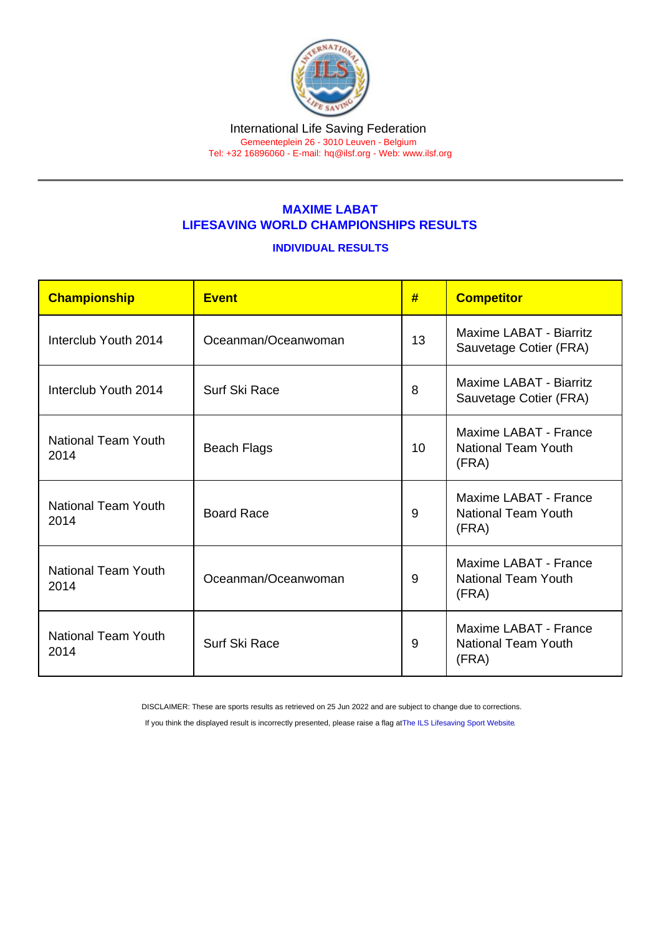## MAXIME LABAT LIFESAVING WORLD CHAMPIONSHIPS RESULTS

## INDIVIDUAL RESULTS

| Championship                       | <b>Event</b>        | #  | <b>Competitor</b>                                            |
|------------------------------------|---------------------|----|--------------------------------------------------------------|
| Interclub Youth 2014               | Oceanman/Oceanwoman | 13 | Maxime LABAT - Biarritz<br>Sauvetage Cotier (FRA)            |
| Interclub Youth 2014               | Surf Ski Race       | 8  | Maxime LABAT - Biarritz<br>Sauvetage Cotier (FRA)            |
| National Team Youth<br>2014        | <b>Beach Flags</b>  | 10 | Maxime LABAT - France<br><b>National Team Youth</b><br>(FRA) |
| National Team Youth<br>2014        | <b>Board Race</b>   | 9  | Maxime LABAT - France<br><b>National Team Youth</b><br>(FRA) |
| National Team Youth<br>2014        | Oceanman/Oceanwoman | 9  | Maxime LABAT - France<br><b>National Team Youth</b><br>(FRA) |
| <b>National Team Youth</b><br>2014 | Surf Ski Race       | 9  | Maxime LABAT - France<br><b>National Team Youth</b><br>(FRA) |

DISCLAIMER: These are sports results as retrieved on 25 Jun 2022 and are subject to change due to corrections.

If you think the displayed result is incorrectly presented, please raise a flag at [The ILS Lifesaving Sport Website.](https://sport.ilsf.org)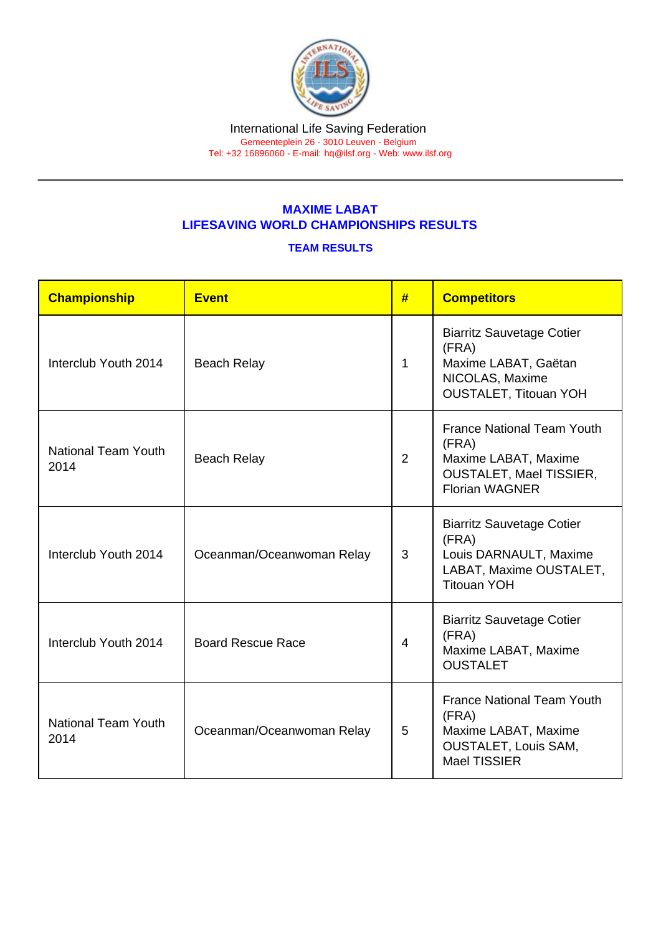## MAXIME LABAT LIFESAVING WORLD CHAMPIONSHIPS RESULTS

## TEAM RESULTS

| Championship                       | Event                     | #              | <b>Competitors</b>                                                                                                            |
|------------------------------------|---------------------------|----------------|-------------------------------------------------------------------------------------------------------------------------------|
| Interclub Youth 2014               | <b>Beach Relay</b>        | $\mathbf{1}$   | <b>Biarritz Sauvetage Cotier</b><br>(FRA)<br>Maxime LABAT, Gaëtan<br>NICOLAS, Maxime<br><b>OUSTALET, Titouan YOH</b>          |
| <b>National Team Youth</b><br>2014 | <b>Beach Relay</b>        | $\overline{2}$ | <b>France National Team Youth</b><br>(FRA)<br>Maxime LABAT, Maxime<br><b>OUSTALET, Mael TISSIER,</b><br><b>Florian WAGNER</b> |
| Interclub Youth 2014               | Oceanman/Oceanwoman Relay | 3              | <b>Biarritz Sauvetage Cotier</b><br>(FRA)<br>Louis DARNAULT, Maxime<br>LABAT, Maxime OUSTALET,<br><b>Titouan YOH</b>          |
| Interclub Youth 2014               | <b>Board Rescue Race</b>  | 4              | <b>Biarritz Sauvetage Cotier</b><br>(FRA)<br>Maxime LABAT, Maxime<br><b>OUSTALET</b>                                          |
| <b>National Team Youth</b><br>2014 | Oceanman/Oceanwoman Relay | 5              | <b>France National Team Youth</b><br>(FRA)<br>Maxime LABAT, Maxime<br><b>OUSTALET, Louis SAM,</b><br><b>Mael TISSIER</b>      |